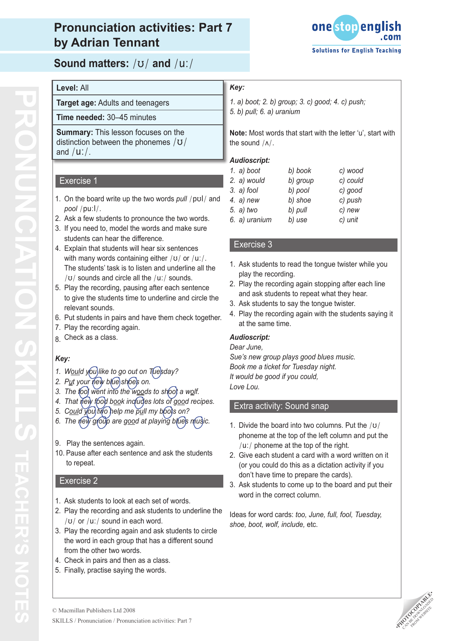

**Sound matters:** /ʊ/ **and** /u:/

### *Key:*

- *1. a) boot; 2. b) group; 3. c) good; 4. c) push;*
- *5. b) pull; 6. a) uranium*

**Note:** Most words that start with the letter 'u', start with the sound /ʌ/.

### *Audioscript:*

| 1. $a)$ boot  | b) book  | c) wood  |
|---------------|----------|----------|
| 2. a) would   | b) group | c) could |
| $3. a)$ fool  | b) pool  | c) good  |
| 4. $a)$ new   | b) shoe  | c) push  |
| 5. a) two     | b) pull  | c) new   |
| 6. a) uranium | b) use   | c) unit  |

### Exercise 3

- 1. Ask students to read the tongue twister while you play the recording.
- 2. Play the recording again stopping after each line and ask students to repeat what they hear.
- 3. Ask students to say the tongue twister.
- 4. Play the recording again with the students saying it at the same time.

### *Audioscript:*

#### *Dear June,*

*Sue's new group plays good blues music. Book me a ticket for Tuesday night. It would be good if you could, Love Lou.*

### Extra activity: Sound snap

- 1. Divide the board into two columns. Put the  $/\upsilon/$ phoneme at the top of the left column and put the /u:/ phoneme at the top of the right.
- 2. Give each student a card with a word written on it (or you could do this as a dictation activity if you don't have time to prepare the cards).
- 3. Ask students to come up to the board and put their word in the correct column.

Ideas for word cards: *too, June, full, fool, Tuesday, shoe, boot, wolf, include,* etc.